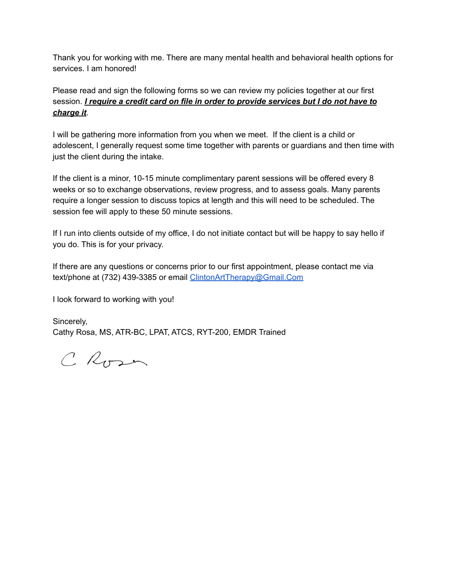Thank you for working with me. There are many mental health and behavioral health options for services. I am honored!

Please read and sign the following forms so we can review my policies together at our first session. *I require a credit card on file in order to provide services but I do not have to charge it*.

I will be gathering more information from you when we meet. If the client is a child or adolescent, I generally request some time together with parents or guardians and then time with just the client during the intake.

If the client is a minor, 10-15 minute complimentary parent sessions will be offered every 8 weeks or so to exchange observations, review progress, and to assess goals. Many parents require a longer session to discuss topics at length and this will need to be scheduled. The session fee will apply to these 50 minute sessions.

If I run into clients outside of my office, I do not initiate contact but will be happy to say hello if you do. This is for your privacy.

If there are any questions or concerns prior to our first appointment, please contact me via text/phone at (732) 439-3385 or email [ClintonArtTherapy@Gmail.Com](mailto:ClintonArtTherapy@Gmail.Com)

I look forward to working with you!

Sincerely, Cathy Rosa, MS, ATR-BC, LPAT, ATCS, RYT-200, EMDR Trained

C Rosen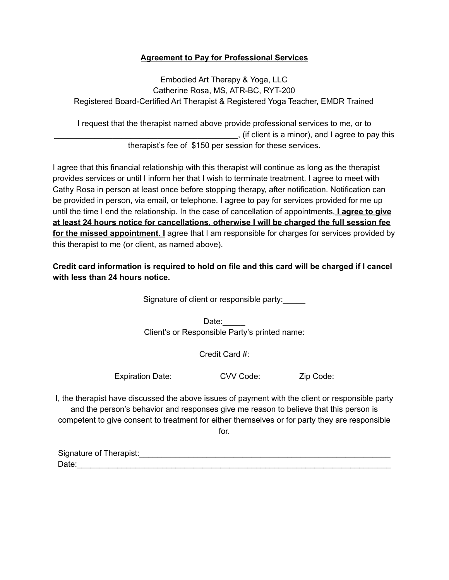## **Agreement to Pay for Professional Services**

Embodied Art Therapy & Yoga, LLC Catherine Rosa, MS, ATR-BC, RYT-200 Registered Board-Certified Art Therapist & Registered Yoga Teacher, EMDR Trained

I request that the therapist named above provide professional services to me, or to \_\_\_\_\_\_\_\_\_\_\_\_\_\_\_\_\_\_\_\_\_\_\_\_\_\_\_\_\_\_\_\_\_\_\_\_\_\_\_\_\_, (if client is a minor), and I agree to pay this therapist's fee of \$150 per session for these services.

I agree that this financial relationship with this therapist will continue as long as the therapist provides services or until I inform her that I wish to terminate treatment. I agree to meet with Cathy Rosa in person at least once before stopping therapy, after notification. Notification can be provided in person, via email, or telephone. I agree to pay for services provided for me up until the time I end the relationship. In the case of cancellation of appointments, **I agree to give at least 24 hours notice for cancellations, otherwise I will be charged the full session fee for the missed appointment. I** agree that I am responsible for charges for services provided by this therapist to me (or client, as named above).

**Credit card information is required to hold on file and this card will be charged if I cancel with less than 24 hours notice.**

Signature of client or responsible party:\_\_\_\_\_

Date: Client's or Responsible Party's printed name:

Credit Card #:

Expiration Date: CVV Code: Zip Code:

I, the therapist have discussed the above issues of payment with the client or responsible party and the person's behavior and responses give me reason to believe that this person is competent to give consent to treatment for either themselves or for party they are responsible

for.

| Signature of Therapist: |  |
|-------------------------|--|
| Date:                   |  |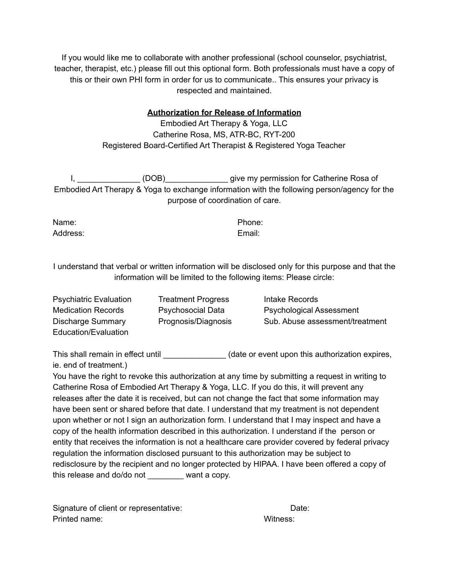If you would like me to collaborate with another professional (school counselor, psychiatrist, teacher, therapist, etc.) please fill out this optional form. Both professionals must have a copy of this or their own PHI form in order for us to communicate.. This ensures your privacy is respected and maintained.

### **Authorization for Release of Information**

Embodied Art Therapy & Yoga, LLC Catherine Rosa, MS, ATR-BC, RYT-200 Registered Board-Certified Art Therapist & Registered Yoga Teacher

I, \_\_\_\_\_\_\_\_\_\_\_\_\_\_\_ (DOB) give my permission for Catherine Rosa of Embodied Art Therapy & Yoga to exchange information with the following person/agency for the purpose of coordination of care.

Name: Phone: Address: Email:

I understand that verbal or written information will be disclosed only for this purpose and that the information will be limited to the following items: Please circle:

Psychiatric Evaluation Treatment Progress Intake Records Medication Records **Psychosocial Data** Psychological Assessment Discharge Summary Prognosis/Diagnosis Sub. Abuse assessment/treatment Education/Evaluation

This shall remain in effect until \_\_\_\_\_\_\_\_\_\_\_\_\_\_\_\_(date or event upon this authorization expires, ie. end of treatment.)

You have the right to revoke this authorization at any time by submitting a request in writing to Catherine Rosa of Embodied Art Therapy & Yoga, LLC. If you do this, it will prevent any releases after the date it is received, but can not change the fact that some information may have been sent or shared before that date. I understand that my treatment is not dependent upon whether or not I sign an authorization form. I understand that I may inspect and have a copy of the health information described in this authorization. I understand if the person or entity that receives the information is not a healthcare care provider covered by federal privacy regulation the information disclosed pursuant to this authorization may be subject to redisclosure by the recipient and no longer protected by HIPAA. I have been offered a copy of this release and do/do not want a copy.

Signature of client or representative: Date: Date: Printed name: Witness: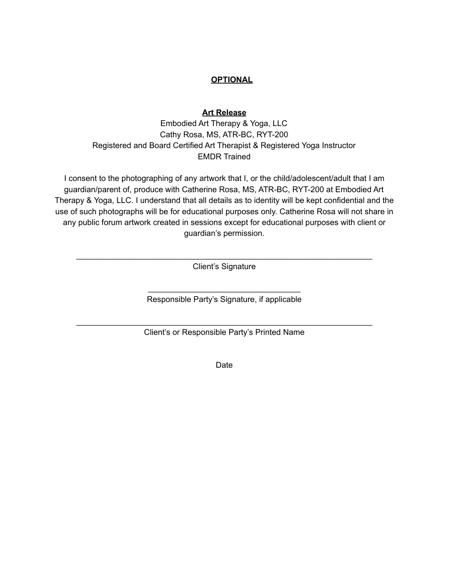# **OPTIONAL**

### **Art Release**

Embodied Art Therapy & Yoga, LLC Cathy Rosa, MS, ATR-BC, RYT-200 Registered and Board Certified Art Therapist & Registered Yoga Instructor EMDR Trained

I consent to the photographing of any artwork that I, or the child/adolescent/adult that I am guardian/parent of, produce with Catherine Rosa, MS, ATR-BC, RYT-200 at Embodied Art Therapy & Yoga, LLC. I understand that all details as to identity will be kept confidential and the use of such photographs will be for educational purposes only. Catherine Rosa will not share in any public forum artwork created in sessions except for educational purposes with client or guardian's permission.

\_\_\_\_\_\_\_\_\_\_\_\_\_\_\_\_\_\_\_\_\_\_\_\_\_\_\_\_\_\_\_\_\_\_\_\_\_\_\_\_\_\_\_\_\_\_\_\_\_\_\_\_\_\_\_\_\_\_\_\_\_\_\_\_\_\_ Client's Signature

> \_\_\_\_\_\_\_\_\_\_\_\_\_\_\_\_\_\_\_\_\_\_\_\_\_\_\_\_\_\_\_\_\_\_ Responsible Party's Signature, if applicable

\_\_\_\_\_\_\_\_\_\_\_\_\_\_\_\_\_\_\_\_\_\_\_\_\_\_\_\_\_\_\_\_\_\_\_\_\_\_\_\_\_\_\_\_\_\_\_\_\_\_\_\_\_\_\_\_\_\_\_\_\_\_\_\_\_\_ Client's or Responsible Party's Printed Name

Date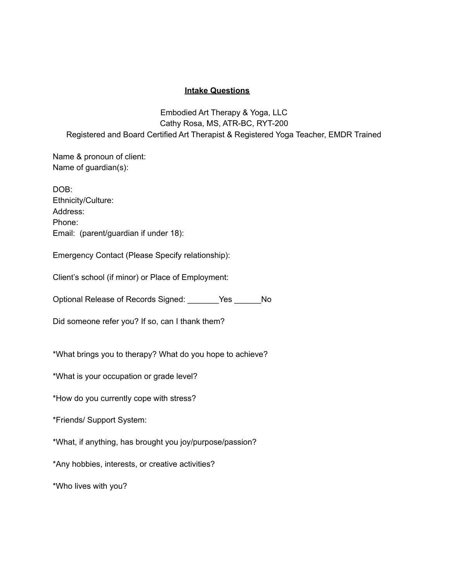#### **Intake Questions**

Embodied Art Therapy & Yoga, LLC Cathy Rosa, MS, ATR-BC, RYT-200 Registered and Board Certified Art Therapist & Registered Yoga Teacher, EMDR Trained

Name & pronoun of client: Name of guardian(s):

DOB: Ethnicity/Culture: Address: Phone: Email: (parent/guardian if under 18):

Emergency Contact (Please Specify relationship):

Client's school (if minor) or Place of Employment:

Optional Release of Records Signed: \_\_\_\_\_\_\_Yes \_\_\_\_\_\_No

Did someone refer you? If so, can I thank them?

\*What brings you to therapy? What do you hope to achieve?

\*What is your occupation or grade level?

\*How do you currently cope with stress?

\*Friends/ Support System:

\*What, if anything, has brought you joy/purpose/passion?

\*Any hobbies, interests, or creative activities?

\*Who lives with you?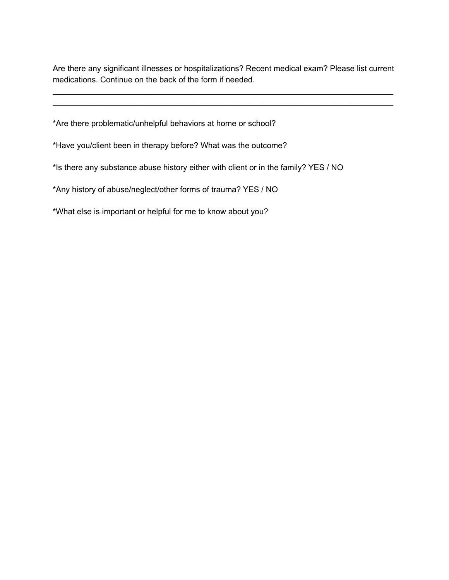Are there any significant illnesses or hospitalizations? Recent medical exam? Please list current medications. Continue on the back of the form if needed.

\_\_\_\_\_\_\_\_\_\_\_\_\_\_\_\_\_\_\_\_\_\_\_\_\_\_\_\_\_\_\_\_\_\_\_\_\_\_\_\_\_\_\_\_\_\_\_\_\_\_\_\_\_\_\_\_\_\_\_\_\_\_\_\_\_\_\_\_\_\_\_\_\_\_\_\_ \_\_\_\_\_\_\_\_\_\_\_\_\_\_\_\_\_\_\_\_\_\_\_\_\_\_\_\_\_\_\_\_\_\_\_\_\_\_\_\_\_\_\_\_\_\_\_\_\_\_\_\_\_\_\_\_\_\_\_\_\_\_\_\_\_\_\_\_\_\_\_\_\_\_\_\_

\*Are there problematic/unhelpful behaviors at home or school?

\*Have you/client been in therapy before? What was the outcome?

\*Is there any substance abuse history either with client or in the family? YES / NO

\*Any history of abuse/neglect/other forms of trauma? YES / NO

\*What else is important or helpful for me to know about you?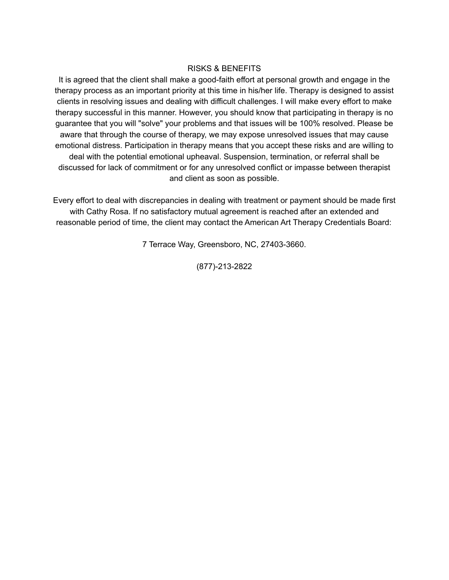### RISKS & BENEFITS

It is agreed that the client shall make a good-faith effort at personal growth and engage in the therapy process as an important priority at this time in his/her life. Therapy is designed to assist clients in resolving issues and dealing with difficult challenges. I will make every effort to make therapy successful in this manner. However, you should know that participating in therapy is no guarantee that you will "solve" your problems and that issues will be 100% resolved. Please be aware that through the course of therapy, we may expose unresolved issues that may cause emotional distress. Participation in therapy means that you accept these risks and are willing to deal with the potential emotional upheaval. Suspension, termination, or referral shall be discussed for lack of commitment or for any unresolved conflict or impasse between therapist and client as soon as possible.

Every effort to deal with discrepancies in dealing with treatment or payment should be made first with Cathy Rosa. If no satisfactory mutual agreement is reached after an extended and reasonable period of time, the client may contact the American Art Therapy Credentials Board:

7 Terrace Way, Greensboro, NC, 27403-3660.

(877)-213-2822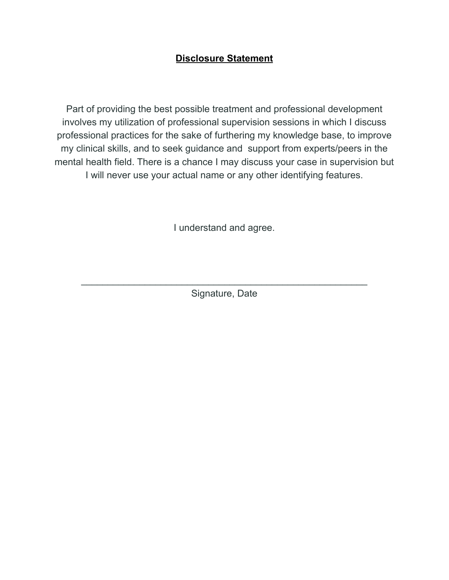# **Disclosure Statement**

Part of providing the best possible treatment and professional development involves my utilization of professional supervision sessions in which I discuss professional practices for the sake of furthering my knowledge base, to improve my clinical skills, and to seek guidance and support from experts/peers in the mental health field. There is a chance I may discuss your case in supervision but I will never use your actual name or any other identifying features.

I understand and agree.

 $\overline{a_1}$  ,  $\overline{a_2}$  ,  $\overline{a_3}$  ,  $\overline{a_4}$  ,  $\overline{a_5}$  ,  $\overline{a_6}$  ,  $\overline{a_7}$  ,  $\overline{a_8}$  ,  $\overline{a_9}$  ,  $\overline{a_9}$  ,  $\overline{a_9}$  ,  $\overline{a_9}$  ,  $\overline{a_9}$  ,  $\overline{a_9}$  ,  $\overline{a_9}$  ,  $\overline{a_9}$  ,  $\overline{a_9}$  , Signature, Date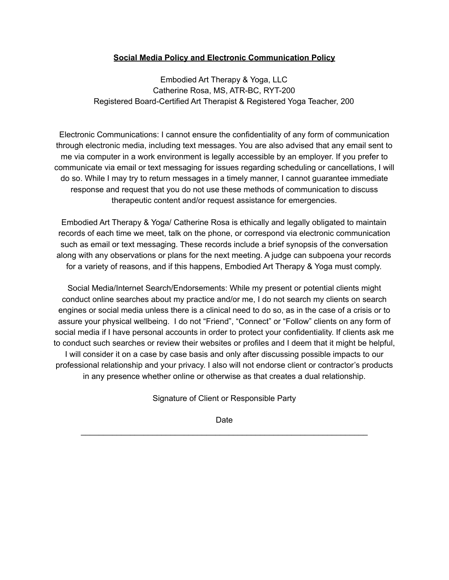## **Social Media Policy and Electronic Communication Policy**

Embodied Art Therapy & Yoga, LLC Catherine Rosa, MS, ATR-BC, RYT-200 Registered Board-Certified Art Therapist & Registered Yoga Teacher, 200

Electronic Communications: I cannot ensure the confidentiality of any form of communication through electronic media, including text messages. You are also advised that any email sent to me via computer in a work environment is legally accessible by an employer. If you prefer to communicate via email or text messaging for issues regarding scheduling or cancellations, I will do so. While I may try to return messages in a timely manner, I cannot guarantee immediate response and request that you do not use these methods of communication to discuss therapeutic content and/or request assistance for emergencies.

Embodied Art Therapy & Yoga/ Catherine Rosa is ethically and legally obligated to maintain records of each time we meet, talk on the phone, or correspond via electronic communication such as email or text messaging. These records include a brief synopsis of the conversation along with any observations or plans for the next meeting. A judge can subpoena your records for a variety of reasons, and if this happens, Embodied Art Therapy & Yoga must comply.

Social Media/Internet Search/Endorsements: While my present or potential clients might conduct online searches about my practice and/or me, I do not search my clients on search engines or social media unless there is a clinical need to do so, as in the case of a crisis or to assure your physical wellbeing. I do not "Friend", "Connect" or "Follow" clients on any form of social media if I have personal accounts in order to protect your confidentiality. If clients ask me to conduct such searches or review their websites or profiles and I deem that it might be helpful, I will consider it on a case by case basis and only after discussing possible impacts to our professional relationship and your privacy. I also will not endorse client or contractor's products in any presence whether online or otherwise as that creates a dual relationship.

Signature of Client or Responsible Party

Date \_\_\_\_\_\_\_\_\_\_\_\_\_\_\_\_\_\_\_\_\_\_\_\_\_\_\_\_\_\_\_\_\_\_\_\_\_\_\_\_\_\_\_\_\_\_\_\_\_\_\_\_\_\_\_\_\_\_\_\_\_\_\_\_